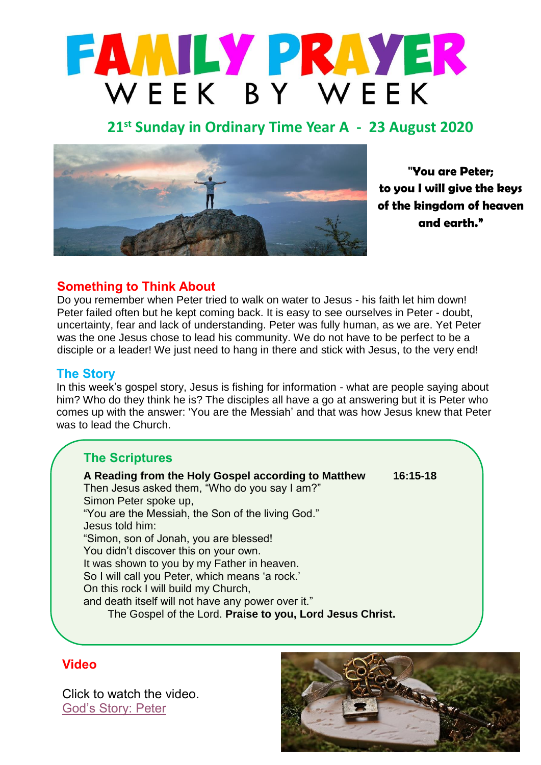

# **21 st Sunday in Ordinary Time Year A - 23 August 2020**



**"You are Peter; to you I will give the keys of the kingdom of heaven and earth."**

### **Something to Think About**

was the one Jesus chose to lead his community. We do not have to be perfect to be a Do you remember when Peter tried to walk on water to Jesus - his faith let him down! Peter failed often but he kept coming back. It is easy to see ourselves in Peter - doubt, uncertainty, fear and lack of understanding. Peter was fully human, as we are. Yet Peter disciple or a leader! We just need to hang in there and stick with Jesus, to the very end!

#### **The Story**

In this week's gospel story, Jesus is fishing for information - what are people saying about him? Who do they think he is? The disciples all have a go at answering but it is Peter who comes up with the answer: 'You are the Messiah' and that was how Jesus knew that Peter was to lead the Church.

## **The Scriptures**

**A Reading from the Holy Gospel according to Matthew 16:15-18** Then Jesus asked them, "Who do you say I am?" Simon Peter spoke up, "You are the Messiah, the Son of the living God." Jesus told him: "Simon, son of Jonah, you are blessed! You didn't discover this on your own. It was shown to you by my Father in heaven. So I will call you Peter, which means 'a rock.' On this rock I will build my Church, and death itself will not have any power over it." The Gospel of the Lord. **Praise to you, Lord Jesus Christ.**

#### **Video**

Click to watch the video. [God's Story: Peter](https://youtu.be/SVx_G8yB19I)

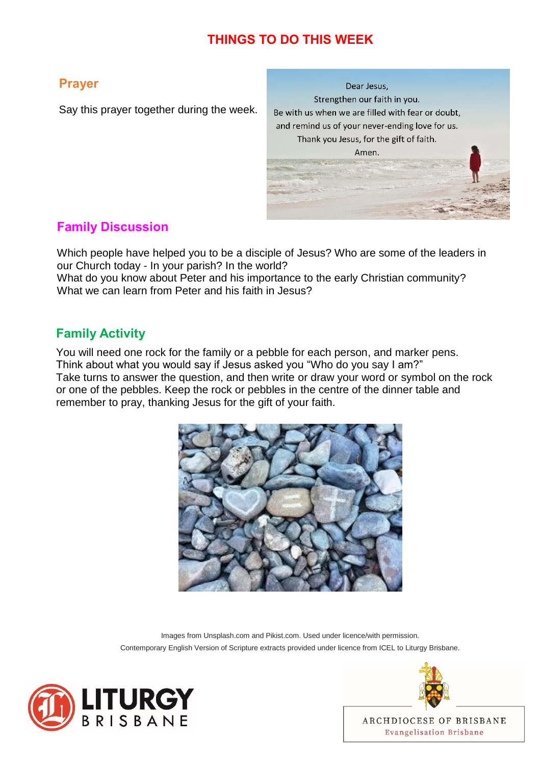## **THINGS TO DO THIS WEEK**

## **Prayer**

Say this prayer together during the week.

Dear Jesus. Strengthen our faith in you. Be with us when we are filled with fear or doubt, and remind us of your never-ending love for us. Thank you Jesus, for the gift of faith. Amen.

## **Family Discussion**

Which people have helped you to be a disciple of Jesus? Who are some of the leaders in our Church today - In your parish? In the world?

What do you know about Peter and his importance to the early Christian community? What we can learn from Peter and his faith in Jesus?

## **Family Activity**

You will need one rock for the family or a pebble for each person, and marker pens. Think about what you would say if Jesus asked you "Who do you say I am?" Take turns to answer the question, and then write or draw your word or symbol on the rock or one of the pebbles. Keep the rock or pebbles in the centre of the dinner table and remember to pray, thanking Jesus for the gift of your faith.



Images from Unsplash.com and Pikist.com. Used under licence/with permission. Contemporary English Version of Scripture extracts provided under licence from ICEL to Liturgy Brisbane.





ARCHDIOCESE OF BRISBANE **Evangelisation Brisbane**